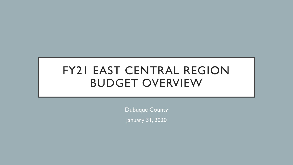# FY21 EAST CENTRAL REGION BUDGET OVERVIEW

Dubuque County January 31, 2020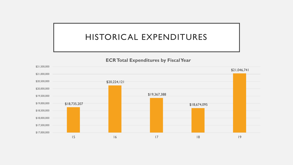## HISTORICAL EXPENDITURES

#### **ECR Total Expenditures by Fiscal Year**

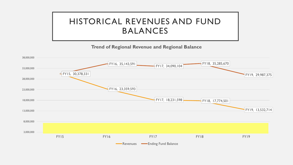# HISTORICAL REVENUES AND FUND BALANCES

#### **Trend of Regional Revenue and Regional Balance**

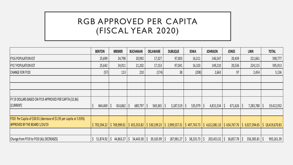# RGB APPROVED PER CAPITA (FISCAL YEAR 2020)

|                                                                      | <b>BENTON</b>    | <b>BREMER</b>               | <b>BUCHANAN</b>         | <b>DELAWARE</b> | <b>DUBUQUE</b>                                                                                                | <b>IOWA</b>                             | <b>JOHNSON</b> | <b>JONES</b>            | <b>LINN</b>      | <b>TOTAL</b>                |
|----------------------------------------------------------------------|------------------|-----------------------------|-------------------------|-----------------|---------------------------------------------------------------------------------------------------------------|-----------------------------------------|----------------|-------------------------|------------------|-----------------------------|
| <b>FY16 POPULATION EST</b>                                           | 25,699           | 24,798                      | 20,992                  | 17,327          | 97,003                                                                                                        | 16,311                                  | 146,547        | 20,439                  | 221,661          | 590,777                     |
| <b>FY17 POPULATION EST</b>                                           | 25,642           | 24,911                      | 21,202                  | 17,153          | 97,041                                                                                                        | 16,103                                  | 149,210        | 20,536                  | 224,115          | 595,913                     |
| CHANGE FOR FY20                                                      | (57)             | 113                         | 210                     | (174)           | 38                                                                                                            | (208)                                   | 2,663          | 97                      | 2,454            | 5,136                       |
|                                                                      |                  |                             |                         |                 |                                                                                                               |                                         |                |                         |                  |                             |
|                                                                      |                  |                             |                         |                 |                                                                                                               |                                         |                |                         |                  |                             |
|                                                                      |                  |                             |                         |                 |                                                                                                               |                                         |                |                         |                  |                             |
| FY 19 DOLLARS BASED ON FY19 APPROVED PER CAPITA (32.86)              |                  |                             |                         |                 |                                                                                                               |                                         |                |                         |                  |                             |
| (CURRENT)                                                            | $844,469$   \$   | $814,862$   \$              | $689,797$ $\frac{1}{5}$ | 569,365         | 3,187,519                                                                                                     | $535,979$ $\frac{1}{5}$<br><sup>S</sup> | 4,815,534      | $671,626$ $\frac{1}{5}$ | $7,283,780$   \$ | 19,412,932                  |
|                                                                      |                  |                             |                         |                 |                                                                                                               |                                         |                |                         |                  |                             |
| [FY20 Per Capita of \$30.91 (decrease of \$1.95 per capita or 5.93%) |                  |                             |                         |                 |                                                                                                               |                                         |                |                         |                  |                             |
| <b>APPROVED BY THE BOARD 1/24/19</b>                                 |                  | $$792,594.22$ $$769,999.01$ |                         |                 | \$ 655,353.82  \$ 530,199.23  \$ 2,999,537.31  \$ 497,743.73  \$ 4,612,081.10  \$ 634,767.76  \$ 6,927,394.65 |                                         |                |                         |                  | $\frac{1}{2}$ 18,419,670.83 |
|                                                                      |                  |                             |                         |                 |                                                                                                               |                                         |                |                         |                  |                             |
| Change from FY19 to FY20 (ALL DECREASES)                             | $51,874.92$   \$ | 44,863.27                   | $34,443.30$   \$<br>S   | 39,165.99       | 187,981.27                                                                                                    | $38,235.73$ $\frac{1}{5}$               | 203,453.32     | $36,857.78$ $\mid$ \$   | 356,385.81       | 993,261.39<br>-S            |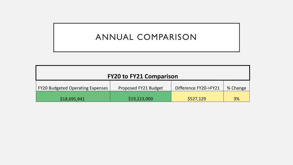# ANNUAL COMPARISON

| <b>FY20 to FY21 Comparison</b>          |                      |                       |          |  |  |  |  |  |  |
|-----------------------------------------|----------------------|-----------------------|----------|--|--|--|--|--|--|
| <b>FY20 Budgeted Operating Expenses</b> | Proposed FY21 Budget | Difference FY20->FY21 | % Change |  |  |  |  |  |  |
| \$18,695,941                            | \$19,223,000         | \$527,129             | 3%       |  |  |  |  |  |  |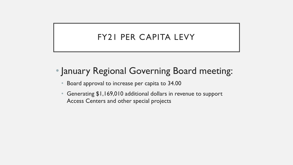## FY21 PER CAPITA LEVY

- January Regional Governing Board meeting:
	- Board approval to increase per capita to 34.00
	- Generating \$1,169,010 additional dollars in revenue to support Access Centers and other special projects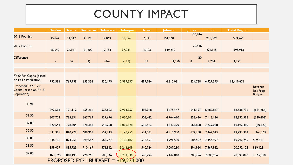# COUNTY IMPACT

|                                                           | <b>Benton</b> | <b>Bremer</b> | Buchanan | <b>Delaware</b> | <b>Dubuque</b>                                          | lowa    | Johnson   | <b>Jones</b> | Linn      | <b>Total Region</b> |                                       |
|-----------------------------------------------------------|---------------|---------------|----------|-----------------|---------------------------------------------------------|---------|-----------|--------------|-----------|---------------------|---------------------------------------|
| 2018 Pop Est                                              | 25,642        | 24,947        | 21,199   | 17,069          | 96,854                                                  | 16, 141 | 151,260   | 20,744       | 225,909   | 599,765             |                                       |
| 2017 Pop Est                                              | 25,642        | 24,911        | 21,202   | 17,153          | 97,041                                                  | 16, 103 | 149,210   | 20,536       | 224, 115  | 595,913             |                                       |
| <b>Difference</b>                                         |               | 36            | (3)      | (84)            | (187)                                                   | 38      | 2,050     | 20<br>8      | 1,794     | 3,852               |                                       |
|                                                           |               |               |          |                 |                                                         |         |           |              |           |                     |                                       |
| FY20 Per Capita (based<br>on FY17 Population)             | 792,594       | 769,999       | 655,354  | 530,199         | 2,999,537                                               | 497,744 | 4,612,081 | 634,768      | 6,927,395 | 18,419,671          |                                       |
| Proposed FY21 Per<br>Capita (based on FY18<br>Population) |               |               |          |                 |                                                         |         |           |              |           |                     | Revenue<br>less Prop<br><b>Budget</b> |
| 30.91                                                     |               |               |          |                 |                                                         |         |           |              |           |                     |                                       |
| 31.50                                                     | 792,594       | 771,112       | 655,261  | 527,603         | 2,993,757                                               | 498,918 | 4,675,447 | 641,197      | 6,982,847 | 18,538,736          | (684, 264)                            |
|                                                           | 807,723       | 785,831       | 667,769  | 537,674         | 3,050,901                                               | 508,442 | 4,764,690 | 653,436      | 7,116,134 | 18,892,598          | (330, 403)                            |
| 32.00                                                     | 820,544       | 798,304       | 678,368  | 546,208         | 3,099,328                                               | 516,512 | 4,840,320 | 663,808      | 7,229,088 | 19,192,480          | (30, 520)                             |
| 32.50                                                     | 833,365       | 810,778       | 688,968  | 554,743         | 3,147,755                                               | 524,583 | 4,915,950 | 674,180      | 7,342,043 | 19,492,363          | 269,363                               |
| 33.00                                                     | 846,186       | 823,251       | 699,567  | 563,277         | 3,196,182                                               | 532,653 | 4,991,580 | 684,552      | 7,454,997 | 19,792,245          | 569,245                               |
| 33.50                                                     | 859,007       | 835,725       | 710,167  | 571,812         | 3,244,609                                               | 540,724 | 5,067,210 | 694,924      | 7,567,952 | 20,092,128          | 869,128                               |
| 34.00                                                     | 871,828       | 848,198       | 720,766  | 580,346         | 3,293,036                                               | 548,794 | 5,142,840 | 705,296      | 7,680,906 | 20,392,010          | 1,169,010                             |
|                                                           |               |               |          |                 | <b>PROPOSED FY21 BUDGET = <math>\$19,223,000</math></b> |         |           |              |           |                     |                                       |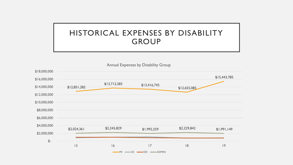### HISTORICAL EXPENSES BY DISABILITY GROUP

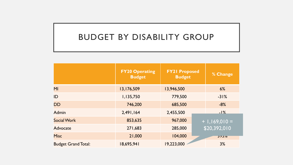#### BUDGET BY DISABILITY GROUP

|                            | <b>FY20 Operating</b><br><b>Budget</b> | <b>FY21 Proposed</b><br><b>Budget</b> | % Change        |
|----------------------------|----------------------------------------|---------------------------------------|-----------------|
| MI                         | 13,176,509                             | 13,946,500                            | 6%              |
| ID                         | 1,135,750                              | 779,500                               | $-31%$          |
| <b>DD</b>                  | 746,200                                | 685,500                               | $-8%$           |
| <b>Admin</b>               | 2,491,164                              | 2,455,500                             | $-1%$           |
| <b>Social Work</b>         | 853,635                                | 967,000                               | $+ 1,169,010 =$ |
| <b>Advocate</b>            | 271,683                                | 285,000                               | \$20,392,010    |
| <b>Misc</b>                | 21,000                                 | 104,000                               | J7J/0           |
| <b>Budget Grand Total:</b> | 18,695,941                             | 19,223,000                            | 3%              |